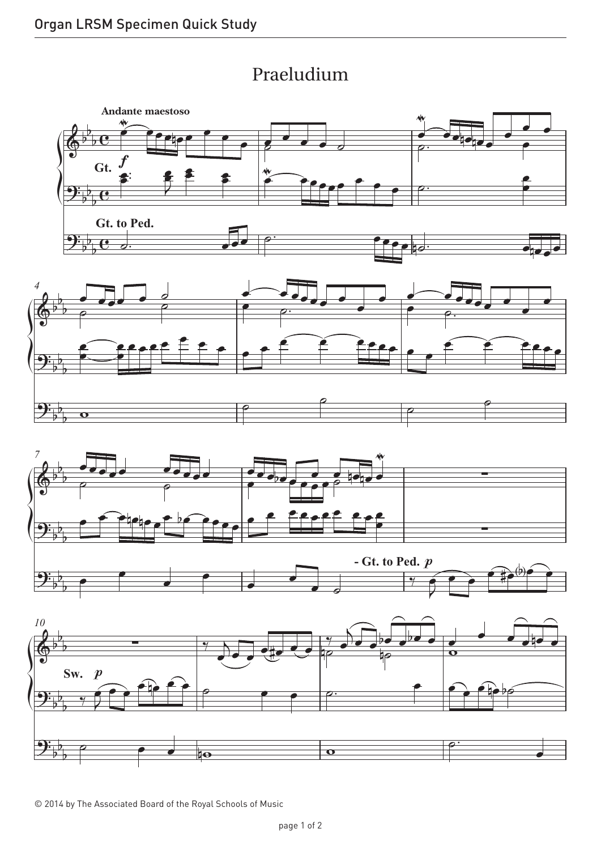## Praeludium Praeludium









© 2014 by The Associated Board of the Royal Schools of Music